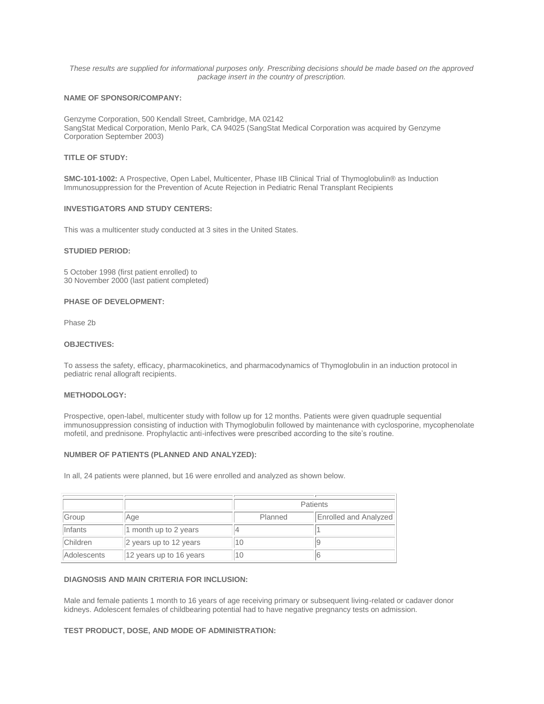*These results are supplied for informational purposes only. Prescribing decisions should be made based on the approved package insert in the country of prescription.*

## **NAME OF SPONSOR/COMPANY:**

Genzyme Corporation, 500 Kendall Street, Cambridge, MA 02142 SangStat Medical Corporation, Menlo Park, CA 94025 (SangStat Medical Corporation was acquired by Genzyme Corporation September 2003)

## **TITLE OF STUDY:**

**SMC-101-1002:** A Prospective, Open Label, Multicenter, Phase IIB Clinical Trial of Thymoglobulin® as Induction Immunosuppression for the Prevention of Acute Rejection in Pediatric Renal Transplant Recipients

## **INVESTIGATORS AND STUDY CENTERS:**

This was a multicenter study conducted at 3 sites in the United States.

#### **STUDIED PERIOD:**

5 October 1998 (first patient enrolled) to 30 November 2000 (last patient completed)

#### **PHASE OF DEVELOPMENT:**

Phase 2b

## **OBJECTIVES:**

To assess the safety, efficacy, pharmacokinetics, and pharmacodynamics of Thymoglobulin in an induction protocol in pediatric renal allograft recipients.

## **METHODOLOGY:**

Prospective, open-label, multicenter study with follow up for 12 months. Patients were given quadruple sequential immunosuppression consisting of induction with Thymoglobulin followed by maintenance with cyclosporine, mycophenolate mofetil, and prednisone. Prophylactic anti-infectives were prescribed according to the site's routine.

### **NUMBER OF PATIENTS (PLANNED AND ANALYZED):**

In all, 24 patients were planned, but 16 were enrolled and analyzed as shown below.

|                    |                         | <b>Patients</b> |                              |
|--------------------|-------------------------|-----------------|------------------------------|
| Group              | Age                     | Planned         | <b>Enrolled and Analyzed</b> |
| <i>Infants</i>     | 1 month up to 2 years   |                 |                              |
| <b>Children</b>    | 2 years up to 12 years  | 10              |                              |
| <b>Adolescents</b> | 12 years up to 16 years | 10              | ь                            |

### **DIAGNOSIS AND MAIN CRITERIA FOR INCLUSION:**

Male and female patients 1 month to 16 years of age receiving primary or subsequent living-related or cadaver donor kidneys. Adolescent females of childbearing potential had to have negative pregnancy tests on admission.

### **TEST PRODUCT, DOSE, AND MODE OF ADMINISTRATION:**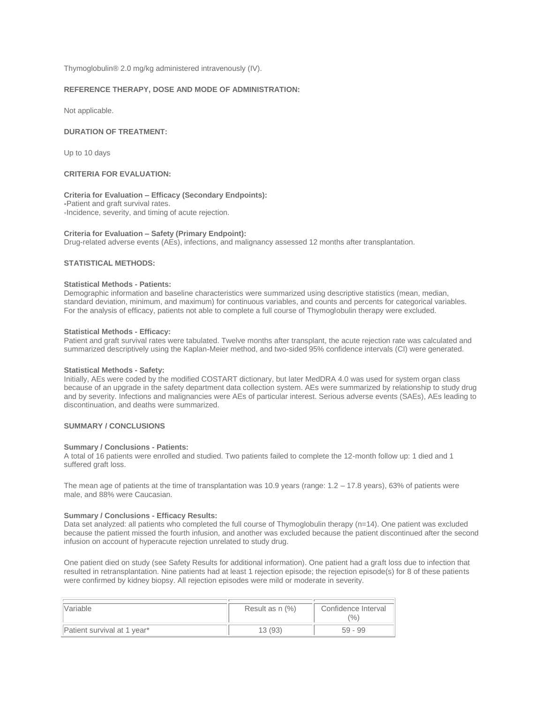Thymoglobulin® 2.0 mg/kg administered intravenously (IV).

## **REFERENCE THERAPY, DOSE AND MODE OF ADMINISTRATION:**

Not applicable.

### **DURATION OF TREATMENT:**

Up to 10 days

## **CRITERIA FOR EVALUATION:**

### **Criteria for Evaluation – Efficacy (Secondary Endpoints):**

**-**Patient and graft survival rates. -Incidence, severity, and timing of acute rejection.

### **Criteria for Evaluation – Safety (Primary Endpoint):**

Drug-related adverse events (AEs), infections, and malignancy assessed 12 months after transplantation.

# **STATISTICAL METHODS:**

## **Statistical Methods - Patients:**

Demographic information and baseline characteristics were summarized using descriptive statistics (mean, median, standard deviation, minimum, and maximum) for continuous variables, and counts and percents for categorical variables. For the analysis of efficacy, patients not able to complete a full course of Thymoglobulin therapy were excluded.

#### **Statistical Methods - Efficacy:**

Patient and graft survival rates were tabulated. Twelve months after transplant, the acute rejection rate was calculated and summarized descriptively using the Kaplan-Meier method, and two-sided 95% confidence intervals (CI) were generated.

#### **Statistical Methods - Safety:**

Initially, AEs were coded by the modified COSTART dictionary, but later MedDRA 4.0 was used for system organ class because of an upgrade in the safety department data collection system. AEs were summarized by relationship to study drug and by severity. Infections and malignancies were AEs of particular interest. Serious adverse events (SAEs), AEs leading to discontinuation, and deaths were summarized.

# **SUMMARY / CONCLUSIONS**

#### **Summary / Conclusions - Patients:**

A total of 16 patients were enrolled and studied. Two patients failed to complete the 12-month follow up: 1 died and 1 suffered graft loss.

The mean age of patients at the time of transplantation was 10.9 years (range:  $1.2 - 17.8$  years), 63% of patients were male, and 88% were Caucasian.

#### **Summary / Conclusions - Efficacy Results:**

Data set analyzed: all patients who completed the full course of Thymoglobulin therapy (n=14). One patient was excluded because the patient missed the fourth infusion, and another was excluded because the patient discontinued after the second infusion on account of hyperacute rejection unrelated to study drug.

One patient died on study (see Safety Results for additional information). One patient had a graft loss due to infection that resulted in retransplantation. Nine patients had at least 1 rejection episode; the rejection episode(s) for 8 of these patients were confirmed by kidney biopsy. All rejection episodes were mild or moderate in severity.

| <i><b>Nariable</b></i>      | Result as n (%) | Confidence Interval<br>$\frac{10}{6}$ |
|-----------------------------|-----------------|---------------------------------------|
| Patient survival at 1 year* | 13(93)          | $59 - 99$                             |